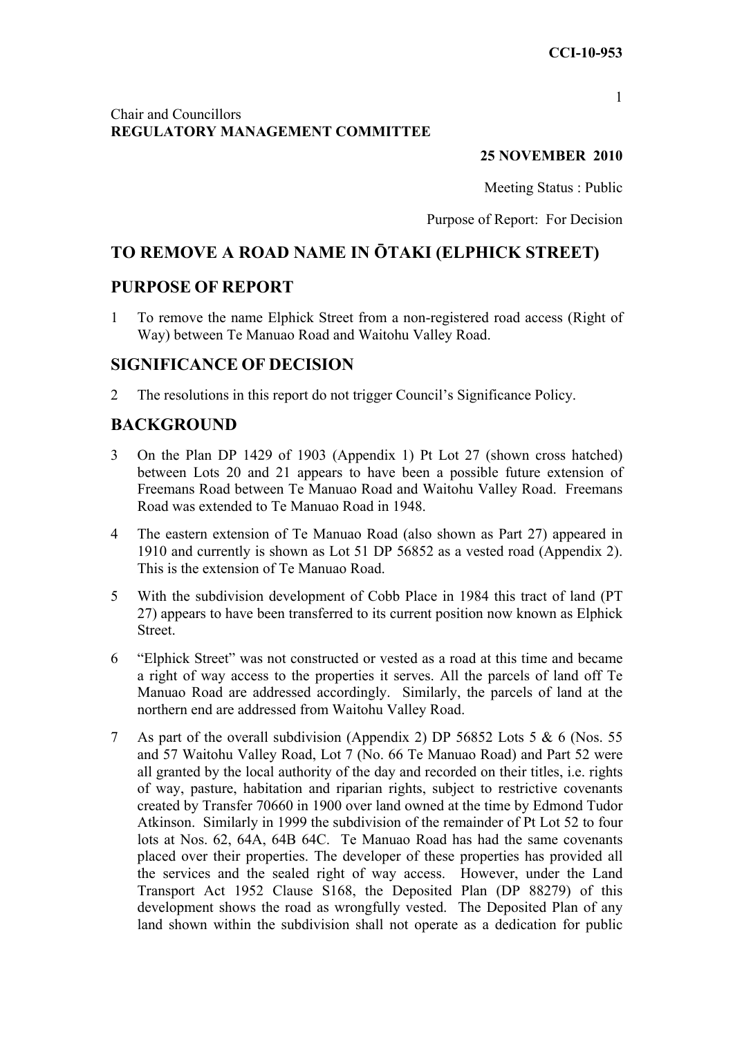#### 1

### Chair and Councillors **REGULATORY MANAGEMENT COMMITTEE**

### **25 NOVEMBER 2010**

Meeting Status : Public

Purpose of Report: For Decision

# **TO REMOVE A ROAD NAME IN ŌTAKI (ELPHICK STREET)**

## **PURPOSE OF REPORT**

1 To remove the name Elphick Street from a non-registered road access (Right of Way) between Te Manuao Road and Waitohu Valley Road.

## **SIGNIFICANCE OF DECISION**

2 The resolutions in this report do not trigger Council's Significance Policy.

# **BACKGROUND**

- 3 On the Plan DP 1429 of 1903 (Appendix 1) Pt Lot 27 (shown cross hatched) between Lots 20 and 21 appears to have been a possible future extension of Freemans Road between Te Manuao Road and Waitohu Valley Road. Freemans Road was extended to Te Manuao Road in 1948.
- 4 The eastern extension of Te Manuao Road (also shown as Part 27) appeared in 1910 and currently is shown as Lot 51 DP 56852 as a vested road (Appendix 2). This is the extension of Te Manuao Road.
- 5 With the subdivision development of Cobb Place in 1984 this tract of land (PT 27) appears to have been transferred to its current position now known as Elphick **Street**
- 6 "Elphick Street" was not constructed or vested as a road at this time and became a right of way access to the properties it serves. All the parcels of land off Te Manuao Road are addressed accordingly. Similarly, the parcels of land at the northern end are addressed from Waitohu Valley Road.
- 7 As part of the overall subdivision (Appendix 2) DP 56852 Lots 5 & 6 (Nos. 55 and 57 Waitohu Valley Road, Lot 7 (No. 66 Te Manuao Road) and Part 52 were all granted by the local authority of the day and recorded on their titles, i.e. rights of way, pasture, habitation and riparian rights, subject to restrictive covenants created by Transfer 70660 in 1900 over land owned at the time by Edmond Tudor Atkinson. Similarly in 1999 the subdivision of the remainder of Pt Lot 52 to four lots at Nos. 62, 64A, 64B 64C. Te Manuao Road has had the same covenants placed over their properties. The developer of these properties has provided all the services and the sealed right of way access. However, under the Land Transport Act 1952 Clause S168, the Deposited Plan (DP 88279) of this development shows the road as wrongfully vested. The Deposited Plan of any land shown within the subdivision shall not operate as a dedication for public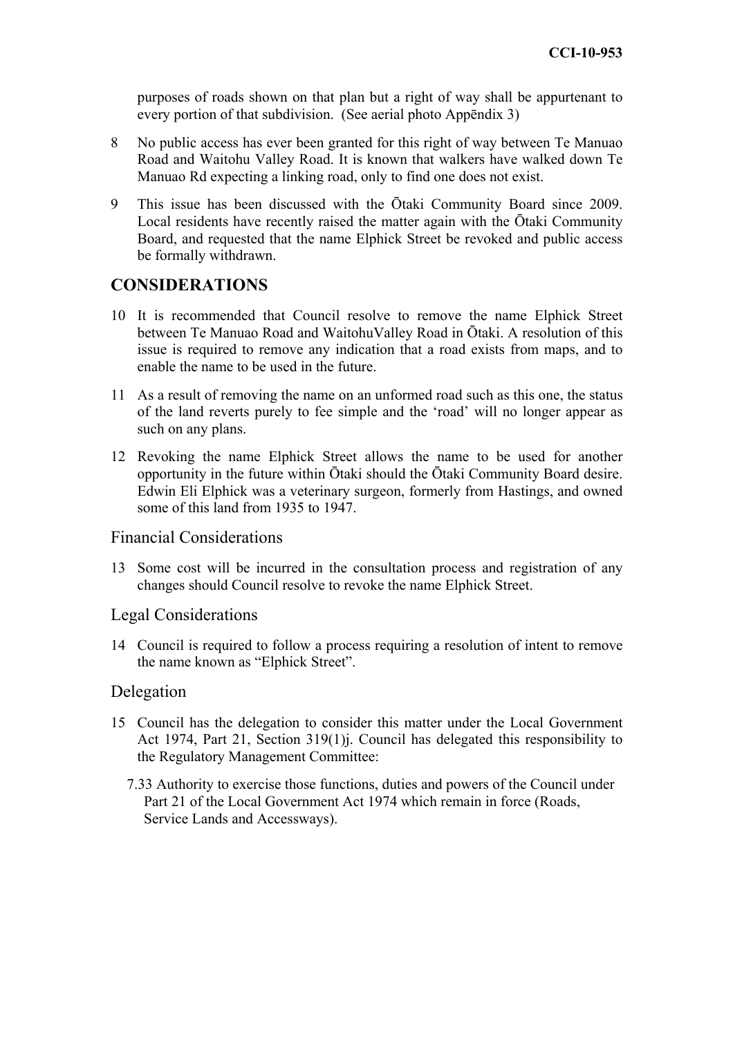purposes of roads shown on that plan but a right of way shall be appurtenant to every portion of that subdivision. (See aerial photo Appēndix 3)

- 8 No public access has ever been granted for this right of way between Te Manuao Road and Waitohu Valley Road. It is known that walkers have walked down Te Manuao Rd expecting a linking road, only to find one does not exist.
- 9 This issue has been discussed with the Ōtaki Community Board since 2009. Local residents have recently raised the matter again with the Ōtaki Community Board, and requested that the name Elphick Street be revoked and public access be formally withdrawn.

## **CONSIDERATIONS**

- 10 It is recommended that Council resolve to remove the name Elphick Street between Te Manuao Road and WaitohuValley Road in Ōtaki. A resolution of this issue is required to remove any indication that a road exists from maps, and to enable the name to be used in the future.
- 11 As a result of removing the name on an unformed road such as this one, the status of the land reverts purely to fee simple and the 'road' will no longer appear as such on any plans.
- 12 Revoking the name Elphick Street allows the name to be used for another opportunity in the future within Ōtaki should the Ōtaki Community Board desire. Edwin Eli Elphick was a veterinary surgeon, formerly from Hastings, and owned some of this land from 1935 to 1947.

### Financial Considerations

13 Some cost will be incurred in the consultation process and registration of any changes should Council resolve to revoke the name Elphick Street.

#### Legal Considerations

14 Council is required to follow a process requiring a resolution of intent to remove the name known as "Elphick Street".

#### Delegation

- 15 Council has the delegation to consider this matter under the Local Government Act 1974, Part 21, Section 319(1)j. Council has delegated this responsibility to the Regulatory Management Committee:
	- 7.33 Authority to exercise those functions, duties and powers of the Council under Part 21 of the Local Government Act 1974 which remain in force (Roads, Service Lands and Accessways).